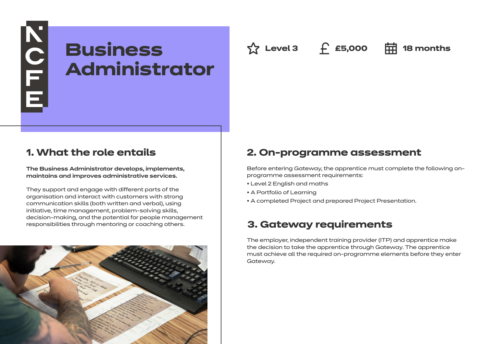# **Business Administrator**

**△ Level 3** ← £5,000 **中** 18 months

## **1. What the role entails**

**NOTE** 

**The Business Administrator develops, implements, maintains and improves administrative services.**

They support and engage with different parts of the organisation and interact with customers with strong communication skills (both written and verbal), using initiative, time management, problem-solving skills, decision-making, and the potential for people management responsibilities through mentoring or coaching others.



## **2. On-programme assessment**

Before entering Gateway, the apprentice must complete the following onprogramme assessment requirements:

- Level 2 English and maths
- A Portfolio of Learning
- A completed Project and prepared Project Presentation.

## **3. Gateway requirements**

The employer, independent training provider (ITP) and apprentice make the decision to take the apprentice through Gateway. The apprentice must achieve all the required on-programme elements before they enter Gateway.